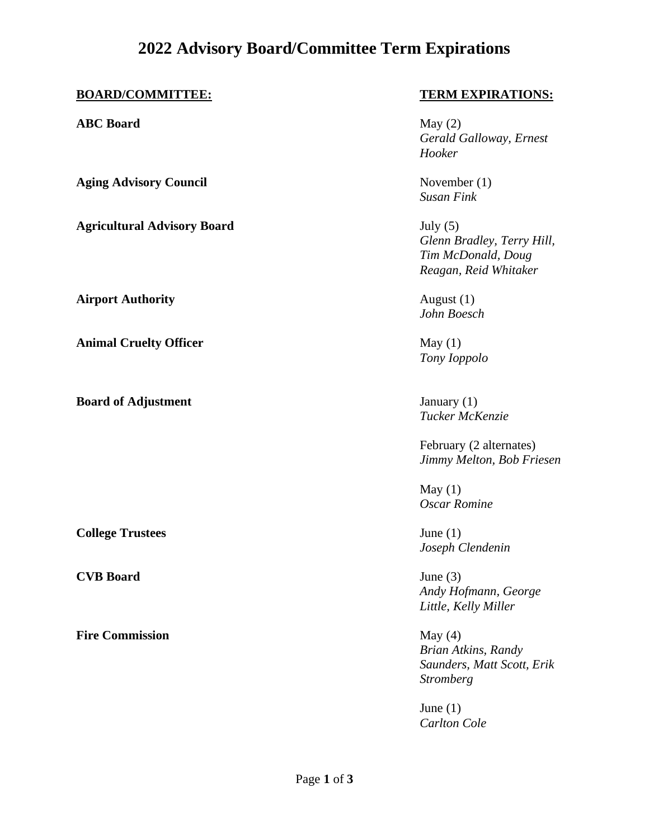## **2022 Advisory Board/Committee Term Expirations**

**ABC Board** May (2)

**Aging Advisory Council** November (1)

**Agricultural Advisory Board** July (5)

**Airport Authority** August (1)

**Animal Cruelty Officer** May (1)

**Board of Adjustment** January (1)

**College Trustees** June (1)

**CVB Board** June (3)

**Fire Commission** May (4)

## **BOARD/COMMITTEE: TERM EXPIRATIONS:**

*Gerald Galloway, Ernest Hooker*

*Susan Fink*

*Glenn Bradley, Terry Hill, Tim McDonald, Doug Reagan, Reid Whitaker*

*John Boesch*

*Tony Ioppolo*

*Tucker McKenzie*

February (2 alternates) *Jimmy Melton, Bob Friesen* 

May  $(1)$ *Oscar Romine*

*Joseph Clendenin*

*Andy Hofmann, George Little, Kelly Miller*

*Brian Atkins, Randy Saunders, Matt Scott, Erik Stromberg*

June  $(1)$ *Carlton Cole*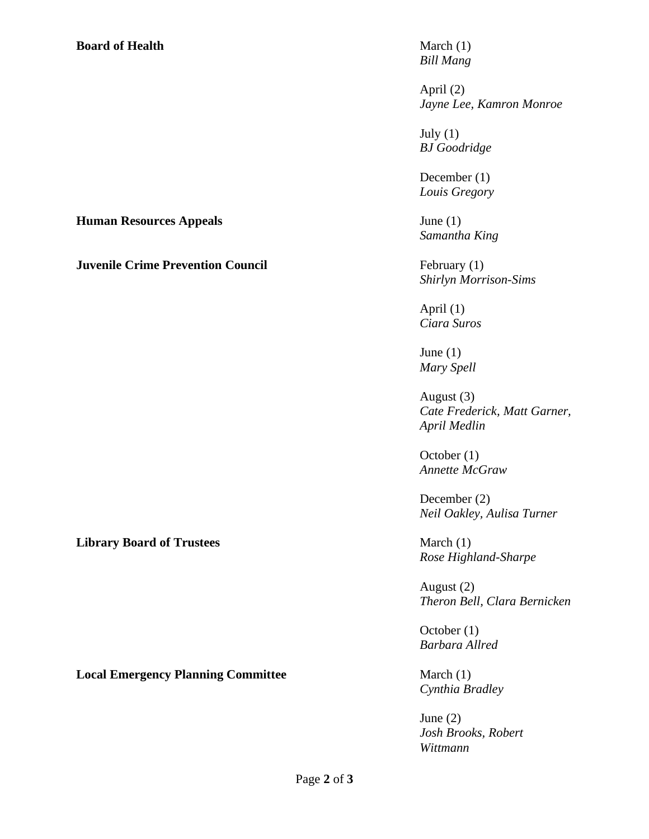## **Board of Health** March (1)

*Bill Mang*

April (2) *Jayne Lee, Kamron Monroe*

July  $(1)$ *BJ Goodridge*

December (1) *Louis Gregory*

*Samantha King*

*Shirlyn Morrison-Sims*

April (1) *Ciara Suros*

June  $(1)$ *Mary Spell*

August (3) *Cate Frederick, Matt Garner, April Medlin*

October (1) *Annette McGraw*

December (2) *Neil Oakley, Aulisa Turner*

*Rose Highland-Sharpe*

August (2) *Theron Bell, Clara Bernicken*

October (1) *Barbara Allred*

*Cynthia Bradley*

June (2) *Josh Brooks, Robert Wittmann*

**Human Resources Appeals** June (1)

**Juvenile Crime Prevention Council** February (1)

**Library Board of Trustees** March (1)

**Local Emergency Planning Committee March (1)** March (1)